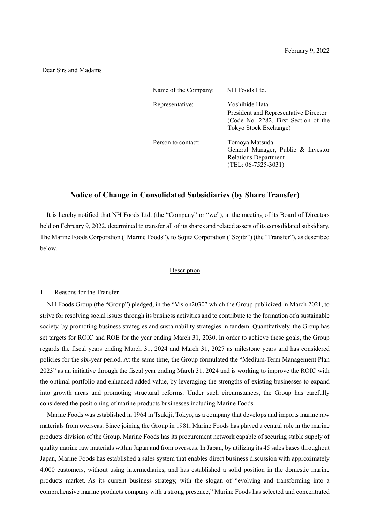### Dear Sirs and Madams

| Name of the Company: | NH Foods Ltd.                                                                                                            |
|----------------------|--------------------------------------------------------------------------------------------------------------------------|
| Representative:      | Yoshihide Hata<br>President and Representative Director<br>(Code No. 2282, First Section of the<br>Tokyo Stock Exchange) |
| Person to contact:   | Tomoya Matsuda<br>General Manager, Public & Investor<br><b>Relations Department</b><br>$(TEL: 06-7525-3031)$             |

## **Notice of Change in Consolidated Subsidiaries (by Share Transfer)**

It is hereby notified that NH Foods Ltd. (the "Company" or "we"), at the meeting of its Board of Directors held on February 9, 2022, determined to transfer all of its shares and related assets of its consolidated subsidiary, The Marine Foods Corporation ("Marine Foods"), to Sojitz Corporation ("Sojitz") (the "Transfer"), as described below.

#### Description

### 1. Reasons for the Transfer

NH Foods Group (the "Group") pledged, in the "Vision2030" which the Group publicized in March 2021, to strive for resolving social issues through its business activities and to contribute to the formation of a sustainable society, by promoting business strategies and sustainability strategies in tandem. Quantitatively, the Group has set targets for ROIC and ROE for the year ending March 31, 2030. In order to achieve these goals, the Group regards the fiscal years ending March 31, 2024 and March 31, 2027 as milestone years and has considered policies for the six-year period. At the same time, the Group formulated the "Medium-Term Management Plan 2023" as an initiative through the fiscal year ending March 31, 2024 and is working to improve the ROIC with the optimal portfolio and enhanced added-value, by leveraging the strengths of existing businesses to expand into growth areas and promoting structural reforms. Under such circumstances, the Group has carefully considered the positioning of marine products businesses including Marine Foods.

Marine Foods was established in 1964 in Tsukiji, Tokyo, as a company that develops and imports marine raw materials from overseas. Since joining the Group in 1981, Marine Foods has played a central role in the marine products division of the Group. Marine Foods has its procurement network capable of securing stable supply of quality marine raw materials within Japan and from overseas. In Japan, by utilizing its 45 sales bases throughout Japan, Marine Foods has established a sales system that enables direct business discussion with approximately 4,000 customers, without using intermediaries, and has established a solid position in the domestic marine products market. As its current business strategy, with the slogan of "evolving and transforming into a comprehensive marine products company with a strong presence," Marine Foods has selected and concentrated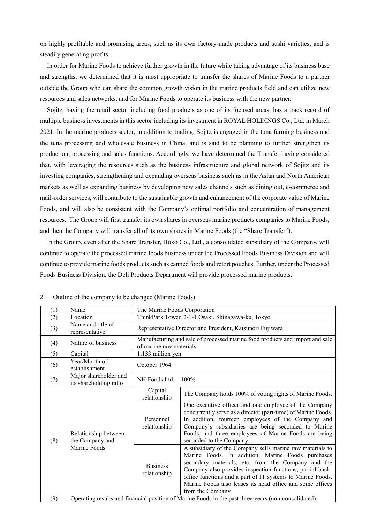on highly profitable and promising areas, such as its own factory-made products and sushi varieties, and is steadily generating profits.

In order for Marine Foods to achieve further growth in the future while taking advantage of its business base and strengths, we determined that it is most appropriate to transfer the shares of Marine Foods to a partner outside the Group who can share the common growth vision in the marine products field and can utilize new resources and sales networks, and for Marine Foods to operate its business with the new partner.

Sojitz, having the retail sector including food products as one of its focused areas, has a track record of multiple business investments in this sector including its investment in ROYAL HOLDINGS Co., Ltd. in March 2021. In the marine products sector, in addition to trading, Sojitz is engaged in the tuna farming business and the tuna processing and wholesale business in China, and is said to be planning to further strengthen its production, processing and sales functions. Accordingly, we have determined the Transfer having considered that, with leveraging the resources such as the business infrastructure and global network of Sojitz and its investing companies, strengthening and expanding overseas business such as in the Asian and North American markets as well as expanding business by developing new sales channels such as dining out, e-commerce and mail-order services, will contribute to the sustainable growth and enhancement of the corporate value of Marine Foods, and will also be consistent with the Company's optimal portfolio and concentration of management resources. The Group will first transfer its own shares in overseas marine products companies to Marine Foods, and then the Company will transfer all of its own shares in Marine Foods (the "Share Transfer").

In the Group, even after the Share Transfer, Hoko Co., Ltd., a consolidated subsidiary of the Company, will continue to operate the processed marine foods business under the Processed Foods Business Division and will continue to provide marine foods products such as canned foods and retort pouches. Further, under the Processed Foods Business Division, the Deli Products Department will provide processed marine products.

| (1)                                                            | Name                                                                                                | The Marine Foods Corporation                                                                                                                                                                                                                                                                                                                                                      |                                                          |  |
|----------------------------------------------------------------|-----------------------------------------------------------------------------------------------------|-----------------------------------------------------------------------------------------------------------------------------------------------------------------------------------------------------------------------------------------------------------------------------------------------------------------------------------------------------------------------------------|----------------------------------------------------------|--|
| (2)                                                            | Location                                                                                            |                                                                                                                                                                                                                                                                                                                                                                                   | ThinkPark Tower, 2-1-1 Osaki, Shinagawa-ku, Tokyo        |  |
| (3)                                                            | Name and title of<br>representative                                                                 | Representative Director and President, Katsunori Fujiwara                                                                                                                                                                                                                                                                                                                         |                                                          |  |
| (4)                                                            | Nature of business                                                                                  | Manufacturing and sale of processed marine food products and import and sale<br>of marine raw materials                                                                                                                                                                                                                                                                           |                                                          |  |
| (5)                                                            | Capital                                                                                             | 1,133 million yen                                                                                                                                                                                                                                                                                                                                                                 |                                                          |  |
| (6)                                                            | Year/Month of<br>establishment                                                                      | October 1964                                                                                                                                                                                                                                                                                                                                                                      |                                                          |  |
| (7)                                                            | Major shareholder and<br>its shareholding ratio                                                     | NH Foods Ltd.<br>100%                                                                                                                                                                                                                                                                                                                                                             |                                                          |  |
| Relationship between<br>the Company and<br>(8)<br>Marine Foods |                                                                                                     | Capital<br>relationship                                                                                                                                                                                                                                                                                                                                                           | The Company holds 100% of voting rights of Marine Foods. |  |
|                                                                | Personnel<br>relationship                                                                           | One executive officer and one employee of the Company<br>concurrently serve as a director (part-time) of Marine Foods.<br>In addition, fourteen employees of the Company and<br>Company's subsidiaries are being seconded to Marine<br>Foods, and three employees of Marine Foods are being<br>seconded to the Company.                                                           |                                                          |  |
|                                                                | <b>Business</b><br>relationship                                                                     | A subsidiary of the Company sells marine raw materials to<br>Marine Foods. In addition, Marine Foods purchases<br>secondary materials, etc. from the Company and the<br>Company also provides inspection functions, partial back-<br>office functions and a part of IT systems to Marine Foods.<br>Marine Foods also leases its head office and some offices<br>from the Company. |                                                          |  |
| (9)                                                            | Operating results and financial position of Marine Foods in the past three years (non-consolidated) |                                                                                                                                                                                                                                                                                                                                                                                   |                                                          |  |

2. Outline of the company to be changed (Marine Foods)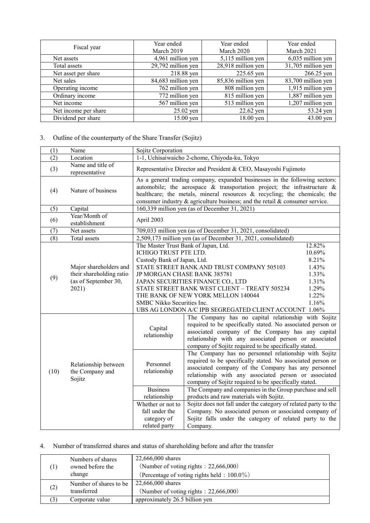| Fiscal year          | Year ended         | Year ended         | Year ended         |
|----------------------|--------------------|--------------------|--------------------|
|                      | March 2019         | March 2020         | March 2021         |
| Net assets           | 4,961 million yen  | 5,115 million yen  | 6,035 million yen  |
| Total assets         | 29,792 million yen | 28,918 million yen | 31,705 million yen |
| Net asset per share  | 218.88 yen         | 225.65 yen         | 266.25 yen         |
| Net sales            | 84,683 million yen | 85,836 million yen | 83,700 million yen |
| Operating income     | 762 million yen    | 808 million yen    | 1,915 million yen  |
| Ordinary income      | 772 million yen    | 815 million yen    | 1,887 million yen  |
| Net income           | 567 million yen    | 513 million yen    | 1,207 million yen  |
| Net income per share | $25.02$ yen        | 22.62 yen          | 53.24 yen          |
| Dividend per share   | 15.00 yen          | $18.00$ yen        | 43.00 yen          |

# 3. Outline of the counterparty of the Share Transfer (Sojitz)

| (1)  | Name                                                                                | Sojitz Corporation                                                                                                                                                                                                                                                                                                                                                                                                                                                    |                                                                                                                                                                                                                                                                                                                                                                                                                                                                                                                                                                                                                                                                                                                                                                                                                                                                                                       |        |
|------|-------------------------------------------------------------------------------------|-----------------------------------------------------------------------------------------------------------------------------------------------------------------------------------------------------------------------------------------------------------------------------------------------------------------------------------------------------------------------------------------------------------------------------------------------------------------------|-------------------------------------------------------------------------------------------------------------------------------------------------------------------------------------------------------------------------------------------------------------------------------------------------------------------------------------------------------------------------------------------------------------------------------------------------------------------------------------------------------------------------------------------------------------------------------------------------------------------------------------------------------------------------------------------------------------------------------------------------------------------------------------------------------------------------------------------------------------------------------------------------------|--------|
| (2)  | Location                                                                            | 1-1, Uchisaiwaicho 2-chome, Chiyoda-ku, Tokyo                                                                                                                                                                                                                                                                                                                                                                                                                         |                                                                                                                                                                                                                                                                                                                                                                                                                                                                                                                                                                                                                                                                                                                                                                                                                                                                                                       |        |
| (3)  | Name and title of<br>representative                                                 | Representative Director and President & CEO, Masayoshi Fujimoto                                                                                                                                                                                                                                                                                                                                                                                                       |                                                                                                                                                                                                                                                                                                                                                                                                                                                                                                                                                                                                                                                                                                                                                                                                                                                                                                       |        |
| (4)  | Nature of business                                                                  | As a general trading company, expanded businesses in the following sectors:<br>automobile; the aerospace $\&$ transportation project; the infrastructure $\&$<br>healthcare; the metals, mineral resources & recycling; the chemicals; the<br>consumer industry $\&$ agriculture business; and the retail $\&$ consumer service.                                                                                                                                      |                                                                                                                                                                                                                                                                                                                                                                                                                                                                                                                                                                                                                                                                                                                                                                                                                                                                                                       |        |
| (5)  | Capital                                                                             |                                                                                                                                                                                                                                                                                                                                                                                                                                                                       | 160,339 million yen (as of December 31, 2021)                                                                                                                                                                                                                                                                                                                                                                                                                                                                                                                                                                                                                                                                                                                                                                                                                                                         |        |
| (6)  | Year/Month of<br>establishment                                                      | April 2003                                                                                                                                                                                                                                                                                                                                                                                                                                                            |                                                                                                                                                                                                                                                                                                                                                                                                                                                                                                                                                                                                                                                                                                                                                                                                                                                                                                       |        |
| (7)  | Net assets                                                                          |                                                                                                                                                                                                                                                                                                                                                                                                                                                                       | 709,033 million yen (as of December 31, 2021, consolidated)                                                                                                                                                                                                                                                                                                                                                                                                                                                                                                                                                                                                                                                                                                                                                                                                                                           |        |
| (8)  | Total assets                                                                        |                                                                                                                                                                                                                                                                                                                                                                                                                                                                       | 2,509,173 million yen (as of December 31, 2021, consolidated)                                                                                                                                                                                                                                                                                                                                                                                                                                                                                                                                                                                                                                                                                                                                                                                                                                         |        |
| (9)  | Major shareholders and<br>their shareholding ratio<br>(as of September 30,<br>2021) | The Master Trust Bank of Japan, Ltd.<br>ICHIGO TRUST PTE LTD.<br>10.69%<br>Custody Bank of Japan, Ltd.<br>8.21%<br>STATE STREET BANK AND TRUST COMPANY 505103<br>1.43%<br>JP MORGAN CHASE BANK 385781<br>1.33%<br>1.31%<br>JAPAN SECURITIES FINANCE CO., LTD<br>1.29%<br>STATE STREET BANK WEST CLIENT - TREATY 505234<br>1.22%<br>THE BANK OF NEW YORK MELLON 140044<br>SMBC Nikko Securities Inc.<br>1.16%<br>UBS AG LONDON A/C IPB SEGREGATED CLIENT ACCOUNT 1.06% |                                                                                                                                                                                                                                                                                                                                                                                                                                                                                                                                                                                                                                                                                                                                                                                                                                                                                                       | 12.82% |
| (10) | Relationship between<br>the Company and<br>Sojitz                                   | Capital<br>relationship<br>Personnel<br>relationship<br><b>Business</b><br>relationship<br>Whether or not to<br>fall under the<br>category of<br>related party                                                                                                                                                                                                                                                                                                        | The Company has no capital relationship with Sojitz<br>required to be specifically stated. No associated person or<br>associated company of the Company has any capital<br>relationship with any associated person or associated<br>company of Sojitz required to be specifically stated.<br>The Company has no personnel relationship with Sojitz<br>required to be specifically stated. No associated person or<br>associated company of the Company has any personnel<br>relationship with any associated person or associated<br>company of Sojitz required to be specifically stated.<br>The Company and companies in the Group purchase and sell<br>products and raw materials with Sojitz.<br>Sojitz does not fall under the category of related party to the<br>Company. No associated person or associated company of<br>Sojitz falls under the category of related party to the<br>Company. |        |

# 4. Number of transferred shares and status of shareholding before and after the transfer

|     | Numbers of shares      | 22,666,000 shares                               |  |
|-----|------------------------|-------------------------------------------------|--|
|     | owned before the       | (Number of voting rights: 22,666,000)           |  |
|     | change                 | (Percentage of voting rights held : $100.0\%$ ) |  |
|     | Number of shares to be | 22,666,000 shares                               |  |
| (2) | transferred            | (Number of voting rights: 22,666,000)           |  |
|     | Corporate value        | approximately 26.5 billion yen                  |  |